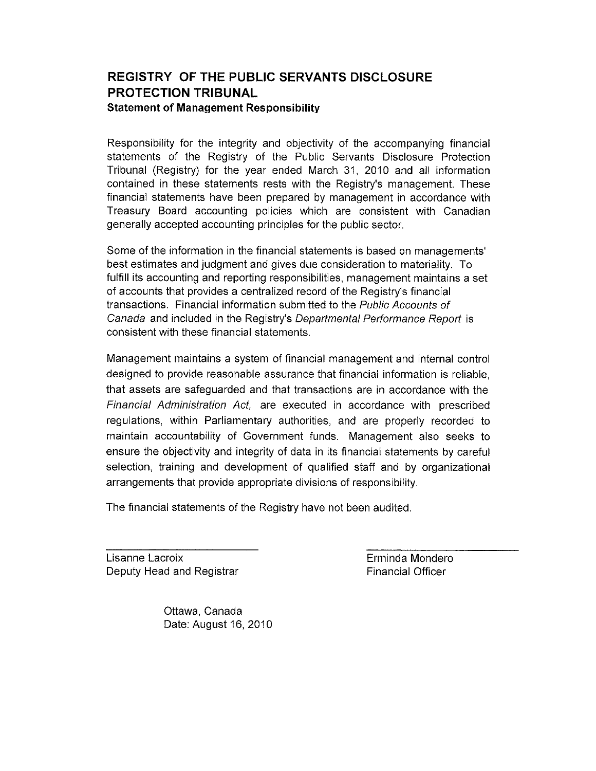# **REGISTRY OF THE PUBLIC SERVANTS DISCLOSURE PROTECTION TRIBUNAL Statement of Management Responsibility**

Responsibility for the integrity and objectivity of the accompanying financial statements of the Registry of the Public Servants Disclosure Protection Tribunal (Registry) for the year ended March 31, 2010 and all information contained in these statements rests with the Registry's management. These financial statements have been prepared by management in accordance with Treasury Board accounting policies which are consistent with Canadian generally accepted accounting principles for the public sector.

Some of the information in the financial statements is based on managements' best estimates and judgment and gives due consideration to materiality. To fulfill its accounting and reporting responsibilities, management maintains a set of accounts that provides a centralized record of the Registry's financial transactions. Financial information submitted to the Public Accounts of Canada and included in the Registry's Departmental Performance Report is consistent with these financial statements.

Management maintains a system of financial management and internal control designed to provide reasonable assurance that financial information is reliable, that assets are safeguarded and that transactions are in accordance with the Financial Administration Act, are executed in accordance with prescribed regulations, within Parliamentary authorities, and are properly recorded to maintain accountability of Government funds. Management also seeks to ensure the objectivity and integrity of data in its financial statements by careful selection, training and development of qualified staff and by organizational arrangements that provide appropriate divisions of responsibility.

The financial statements of the Registry have not been audited.

Lisanne Lacroix Deputy Head and Registrar Erminda Mondero Financial Officer

Ottawa, Canada Date: August 16, 2010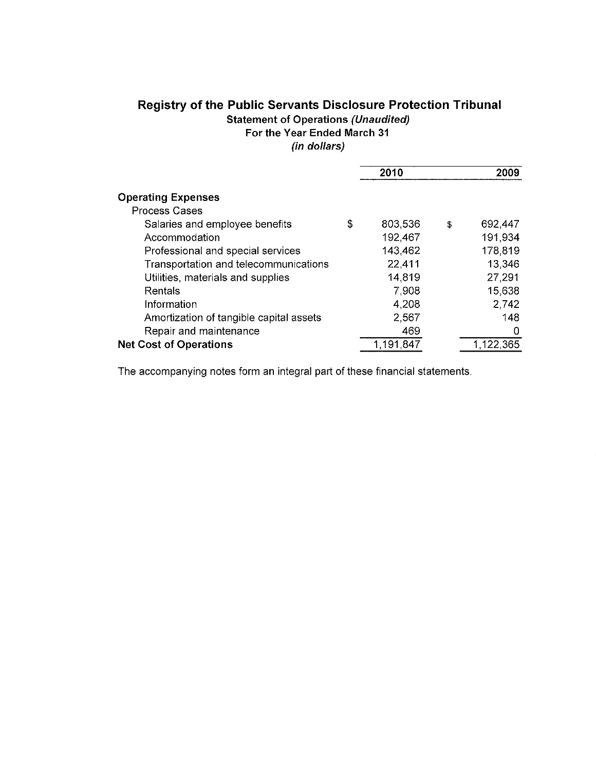# **Registry of the Public Servants Disclosure Protection Tribunal Statement of Operations (Unaudited) For the Year Ended March 31**

**(in dollars)** 

|                                         |   | 2010      | 2009          |
|-----------------------------------------|---|-----------|---------------|
| <b>Operating Expenses</b>               |   |           |               |
| Process Cases                           |   |           |               |
| Salaries and employee benefits          | S | 803,536   | \$<br>692,447 |
| Accommodation                           |   | 192,467   | 191,934       |
| Professional and special services       |   | 143,462   | 178,819       |
| Transportation and telecommunications   |   | 22,411    | 13,346        |
| Utilities, materials and supplies       |   | 14,819    | 27,291        |
| Rentals                                 |   | 7,908     | 15,638        |
| Information                             |   | 4,208     | 2,742         |
| Amortization of tangible capital assets |   | 2,567     | 148           |
| Repair and maintenance                  |   | 469       | 0             |
| <b>Net Cost of Operations</b>           |   | 1.191.847 | 1.122,365     |

The accompanying notes form an integral part of these financial statements.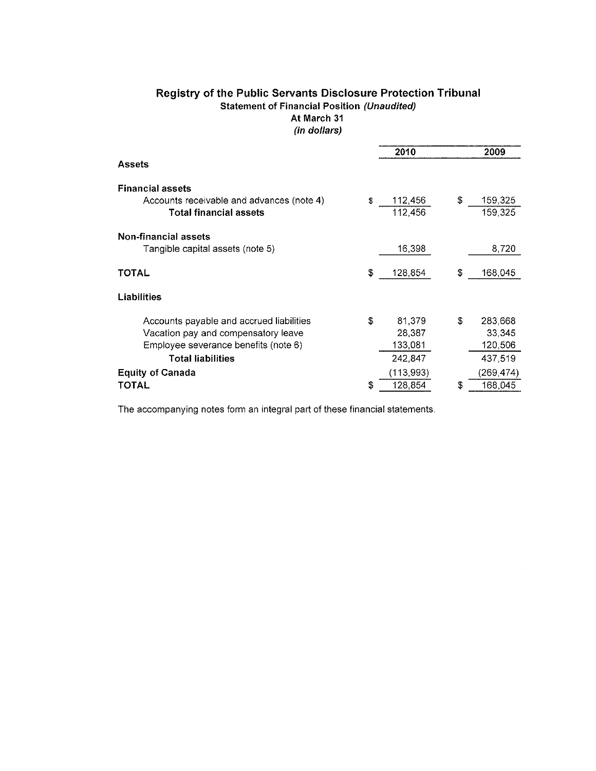|                                           |     | 2010      |     | 2009      |
|-------------------------------------------|-----|-----------|-----|-----------|
| <b>Assets</b>                             |     |           |     |           |
| <b>Financial assets</b>                   |     |           |     |           |
| Accounts receivable and advances (note 4) | S.  | 112,456   | \$  | 159,325   |
| <b>Total financial assets</b>             |     | 112,456   |     | 159,325   |
| <b>Non-financial assets</b>               |     |           |     |           |
| Tangible capital assets (note 5)          |     | 16,398    |     | 8,720     |
| <b>TOTAL</b>                              | S   | 128,854   | \$  | 168,045   |
| Liabilities                               |     |           |     |           |
| Accounts payable and accrued liabilities  | \$. | 81,379    | \$. | 283,668   |
| Vacation pay and compensatory leave       |     | 28,387    |     | 33,345    |
| Employee severance benefits (note 6)      |     | 133,081   |     | 120,506   |
| <b>Total liabilities</b>                  |     | 242,847   |     | 437,519   |
| <b>Equity of Canada</b>                   |     | (113,993) |     | (269,474) |
| TOTAL                                     | S   | 128,854   | S   | 168,045   |
|                                           |     |           |     |           |

# Registry of the Public Servants Disclosure Protection Tribunal Statement of Financial Position (Unaudited) At March 31 (in dollars)

The accompanying notes form an integral part of these financial statements.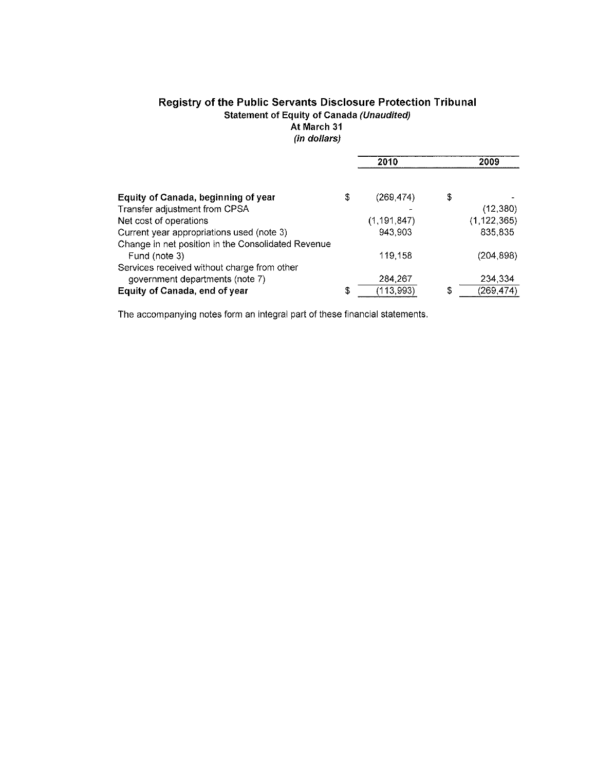# **Registry of the Public Servants Disclosure Protection Tribunal Statement of Equity of Canada (Unaudited)**

**At March 31** 

**(in dollars)** 

|                                                    | 2010             |    | 2009      |
|----------------------------------------------------|------------------|----|-----------|
| Equity of Canada, beginning of year                | \$<br>(269, 474) | S  |           |
| Transfer adjustment from CPSA                      |                  |    | (12, 380) |
| Net cost of operations                             | (1, 191, 847)    |    | (1122365) |
| Current year appropriations used (note 3)          | 943,903          |    | 835,835   |
| Change in net position in the Consolidated Revenue |                  |    |           |
| Fund (note 3)                                      | 119,158          |    | (204 898) |
| Services received without charge from other        |                  |    |           |
| government departments (note 7)                    | 284,267          |    | 234,334   |
| Equity of Canada, end of year                      | \$<br>(113,993)  | \$ | (269.474) |

The accompanying notes form an integral part of these financial statements.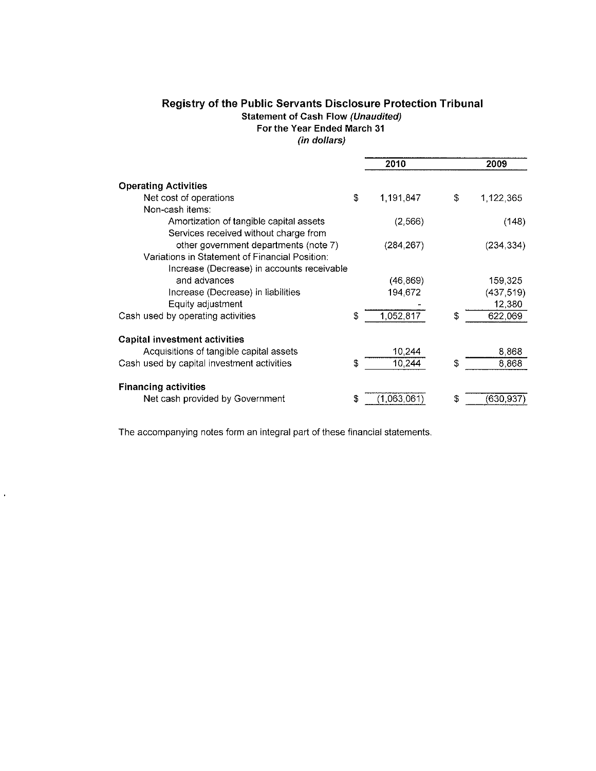# **Registry of the Public Servants Disclosure Protection Tribunal Statement of Cash Flow (Unaudited)**

**For the Year Ended March 31** 

**(in dollars)** 

|                                                | 2010              | 2009            |
|------------------------------------------------|-------------------|-----------------|
| <b>Operating Activities</b>                    |                   |                 |
| Net cost of operations                         | \$<br>1,191,847   | \$<br>1.122,365 |
| Non-cash items:                                |                   |                 |
| Amortization of tangible capital assets        | (2, 566)          | (148)           |
| Services received without charge from          |                   |                 |
| other government departments (note 7)          | (284, 267)        | (234, 334)      |
| Variations in Statement of Financial Position: |                   |                 |
| Increase (Decrease) in accounts receivable     |                   |                 |
| and advances                                   | (46, 869)         | 159,325         |
| Increase (Decrease) in liabilities             | 194,672           | (437, 519)      |
| Equity adjustment                              |                   | 12,380          |
| Cash used by operating activities              | \$<br>1,052,817   | \$<br>622,069   |
| <b>Capital investment activities</b>           |                   |                 |
| Acquisitions of tangible capital assets        | 10,244            | 8,868           |
| Cash used by capital investment activities     | \$<br>10,244      | \$<br>8.868     |
| <b>Financing activities</b>                    |                   |                 |
| Net cash provided by Government                | \$<br>(1,063,061) | \$<br>(630.937) |

The accompanying notes form an integral part of these financial statements.

 $\ddot{\phantom{0}}$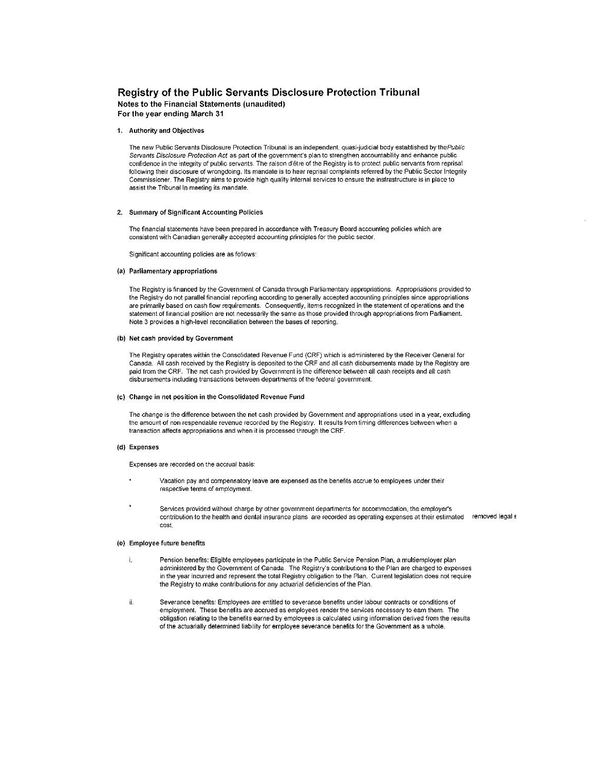# Registry of the Public Servants Disclosure Protection Tribunal

Notes to the Financial Statements (unaudited) For the year ending March 31

## 1. Authority and Objectives

The new Public Servants Disclosure Protection Tribunal is an independent, quasi-judicial body established by thePublic Servants Disclosure Protection Act as part of the government's plan to strengthen accountability and enhance public confidence in the integrity of public servants. The raison d'être of the Registry is to protect public servants from reprisal following their disclosure of wrongdoing. Its mandate is to hear reprisal complaints referred by the Public Sector Integrity Commissioner. The Registry aims to provide high quality internal services to ensure the insfrastructure is in place to assist the Tribunal in meeting its mandate.

### 2. Summary of Significant Accounting Policies

The financial statements have been prepared in accordance with Treasury Board accounting policies which are consistent with Canadian generally accepted accounting principles for the public sector.

Significant accounting policies are as follows:

## {a) Parliamentary appropriations

The Registry is financed by the Government of Canada through Parliamentary appropriations. Appropriations provided to the Registry do not parallel financial reporting according to generally accepted accounting principles since appropriations are primarily based on cash flow requirements. Consequently, items recognized in the statement of operations and the statement of financial position are not necessarily the same as those provided through appropriations from Parliament. Note 3 provides a high-level reconciliation between the bases of reporting.

#### (b) Net cash provided by Government

The Registry operates within the Consolidated Revenue Fund (CRF) which is administered by the Receiver General for Canada. All cash received by the Registry is deposited to the CRF and all cash disbursements made by the Registry are paid from the CRF. The net cash provided by Government is the difference between all cash receipts and all cash disbursements including transactions between departments of the federal government.

#### (c) Change in net position in the Consolidated Revenue Fund

The change is the difference between the net cash provided by Government and appropriations used in a year, excluding the amount of non respendable revenue recorded by the Registry. It results from timing differences between when a transaction affects appropriations and when it is processed through the CRF.

#### (d) Expenses

Expenses are recorded on the accrual basis:

- Vacation pay and compensatory leave are expensed as the benefits accrue to employees under their respective terms of employment.
- Services provided without charge by other government departments for accommodation, the employer's contribution to the health and dental insurance plans are recorded as operating expenses at their estimated removed legals cost.

## (e) Employee future benefits

- Pension benefits: Eligible employees participate in the Public Service Pension Plan, a multiemployer plan  $\mathbf{i}$ . administered by the Government of Canada. The Registry's contributions to the Plan are charged to expenses in the year incurred and represent the total Registry obligation to the Plan. Current legislation does not require the Registry to make contributions for any actuarial deficiencies of the Plan.
- ii. Severance benefits: Employees are entitled to severance benefits under labour contracts or conditions of employment. These benefits are accrued as employees render the services necessary to earn them. The obligation relating to the benefits earned by employees is calculated using information derived from the results of the actuarially determined liability for employee severance benefits for the Government as a whole.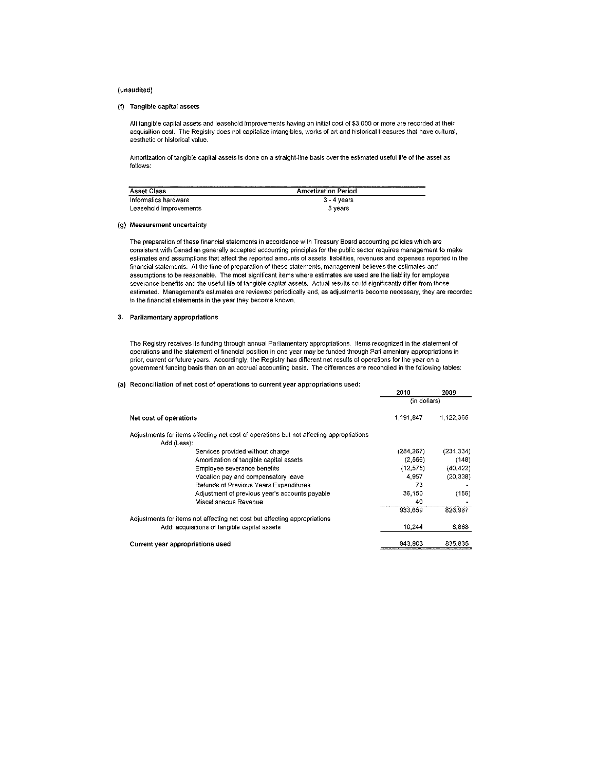### (unaudited)

## (f) Tangible capital assets

All tangible capital assets and leasehold improvements having an initial cost of \$3,000 or more are recorded at their acquisition cost. The Registry does not capitalize intangibles, works of art and historical treasures that have cultural, aesthetic or historical value.

Amortization of tangible capital assets is done on a straight-line basis over the estimated useful life of the asset as follows:

| <b>Asset Class</b>     | -----------<br><b>Amortization Period</b> |
|------------------------|-------------------------------------------|
| Informatics hardware   | $3 - 4$ years                             |
| Leasehold Improvements | 5 vears                                   |

### (g) Measurement uncertainty

The preparation of these financial statements in accordance with Treasury Board accounting policies which are consistent with Canadian generally accepted accounting principles for the public sector requires management to make estimates and assumptions that affect the reported amounts of assets, liabilities, revenues and expenses reported in the financial statements. At the time of preparation of these statements, management believes the estimates and assumptions to be reasonable. The most significant items where estimates are used are the liability for employee severance benefits and the useful life of tangible capital assets. Actual results could significantly differ from those estimated. Management's estimates are reviewed periodically and, as adjustments become necessary, they are recordec in the financial statements in the year they become known.

#### 3. Parliamentary appropriations

The Registry receives its funding through annual Parliamentary appropriations. Items recognized in the statement of operations and the statement of financial position in one year may be funded through Parliamentary appropriations in prior, current or future years. Accordingly, the Registry has different net results of operations for the year on a government funding basis than on an accrual accounting basis. The differences are reconciled in the following tables:

#### (a) Reconciliation of net cost of operations to current year appropriations used:

|                                                                                         | 2010         | 2009       |
|-----------------------------------------------------------------------------------------|--------------|------------|
|                                                                                         | (in dollars) |            |
| Net cost of operations                                                                  | 1.191.847    | 1.122.365  |
| Adjustments for items affecting net cost of operations but not affecting appropriations |              |            |
| Add (Less):                                                                             |              |            |
| Services provided without charge                                                        | (284, 267)   | (234, 334) |
| Amortization of tangible capital assets                                                 | (2,566)      | (148)      |
| Employee severance benefits                                                             | (12, 575)    | (40, 422)  |
| Vacation pay and compensatory leave                                                     | 4,957        | (20, 338)  |
| <b>Refunds of Previous Years Expenditures</b>                                           | 73           |            |
| Adjustment of previous year's accounts payable                                          | 36.150       | (156)      |
| Miscellaneous Revenue                                                                   | 40           |            |
|                                                                                         | 933.659      | 826.967    |
| Adjustments for items not affecting net cost but affecting appropriations               |              |            |
| Add: acquisitions of tangible capital assets                                            | 10.244       | 8,868      |
| Current year appropriations used                                                        | 943.903      | 835,835    |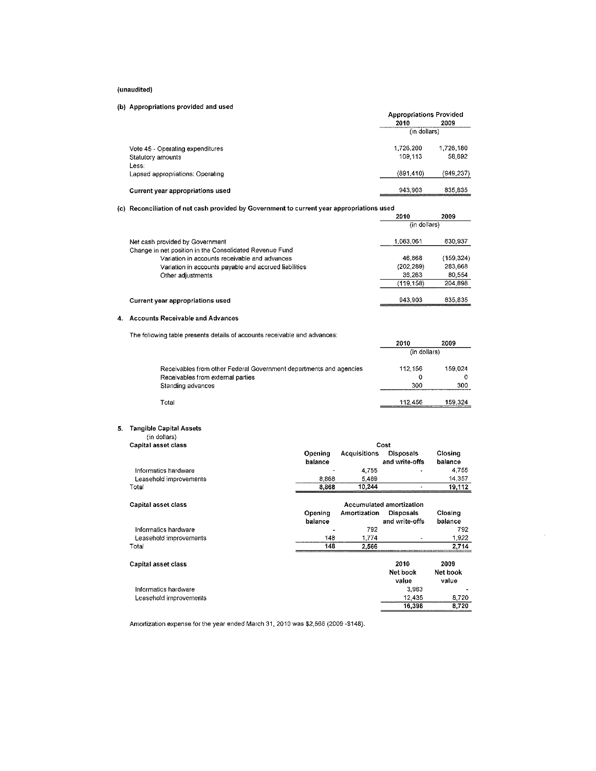## (unaudited)

# (b) Appropriations provided and used

|                                  | <b>Appropriations Provided</b> |            |  |
|----------------------------------|--------------------------------|------------|--|
|                                  | 2010                           | 2009       |  |
|                                  | (in dollars)                   |            |  |
| Vote 45 - Operating expenditures | 1.726.200                      | 1.726.180  |  |
| Statutory amounts                | 109.113                        | 58.892     |  |
| Less.                            |                                |            |  |
| Lapsed appropriations: Operating | (891, 410)                     | (949, 237) |  |
| Current year appropriations used | 943.903                        | 835,835    |  |

(c) Reconciliation of net cash provided by Government to current year appropriations used

| iteconomation of not open programs by Oorominum to call only you appropriations asso |              |            |
|--------------------------------------------------------------------------------------|--------------|------------|
|                                                                                      | 2010         | 2009       |
|                                                                                      | (in dollars) |            |
| Net cash provided by Government                                                      | 1.063.061    | 630,937    |
| Change in net position in the Consolidated Revenue Fund                              |              |            |
| Variation in accounts receivable and advances                                        | 46.868       | (159, 324) |
| Variation in accounts payable and accrued liabilities                                | (202, 289)   | 283,668    |
| Other adjustments                                                                    | 36,263       | 80.554     |
|                                                                                      | (119.158)    | 204.898    |
| Current year appropriations used                                                     | 943.903      | 835.835    |

# 4. Accounts Receivable and Advances

The following table presents details of accounts receivable and advances:

|                                                                    | 20 T U       | zuuy    |
|--------------------------------------------------------------------|--------------|---------|
|                                                                    | (in dollars) |         |
| Receivables from other Federal Government departments and agencies | 112.156      | 159,024 |
| Receivables from external parties                                  | 0            |         |
| Standing advances                                                  | 300          | 300     |
| Total                                                              | 112.456      | 159.324 |

2010 2009

## 5. Tangible Capital Assets

|  | (in dollars) |  |
|--|--------------|--|
|  |              |  |

| Capital asset class    | Cost               |                     |                                 |                    |
|------------------------|--------------------|---------------------|---------------------------------|--------------------|
|                        | Opening<br>balance | <b>Acquisitions</b> | Disposals<br>and write-offs     | Closing<br>balance |
| Informatics hardware   |                    | 4,755               |                                 | 4,755              |
| Leasehold improvements | 8.868              | 5,489               |                                 | 14,357             |
| Total                  | 8.868              | 10,244              |                                 | 19,112             |
| Capital asset class    |                    |                     | <b>Accumulated amortization</b> |                    |
|                        | Opening            | Amortization        | Disposals                       | Closing            |
|                        | balance            |                     | and write-offs                  | balance            |
| Informatics hardware   |                    | 792                 |                                 | 792                |
| Leasehold improvements | 148                | 1.774               |                                 | 1,922              |
| Total                  | 148                | 2,566               |                                 | 2,714              |
| Capital asset class    |                    |                     | 2010                            | 2009               |
|                        |                    |                     | Net book                        | Net book           |
|                        |                    |                     | value                           | value              |
| Informatics hardware   |                    |                     | 3.963                           |                    |
| Leasehold improvements |                    |                     | 12,435                          | 8,720              |
|                        |                    |                     | 16,398                          | 8,720              |
|                        |                    |                     |                                 |                    |

Amortization expense for the year ended March 31, 2010 was \$2,566 (2009 -\$148).